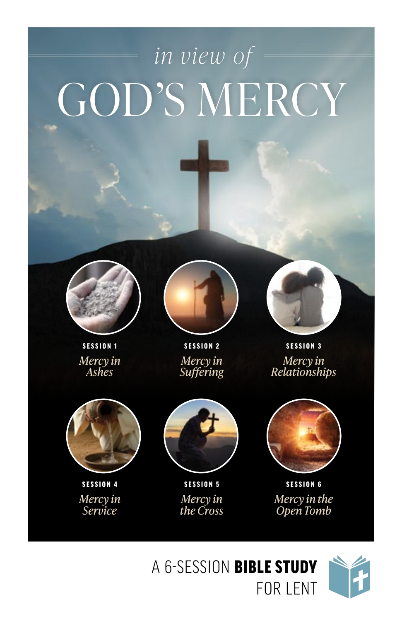# GOD'S MERCY *in view of*



SESSION 1 *Mercy in Ashes*



SESSION 2 *Mercy in Suffering*



SESSION 3 *Mercy in Relationships*



SESSION 4 *Mercy in Service*



SESSION 5 *Mercy in the Cross*



SESSION 6 *Mercy in the Open Tomb*

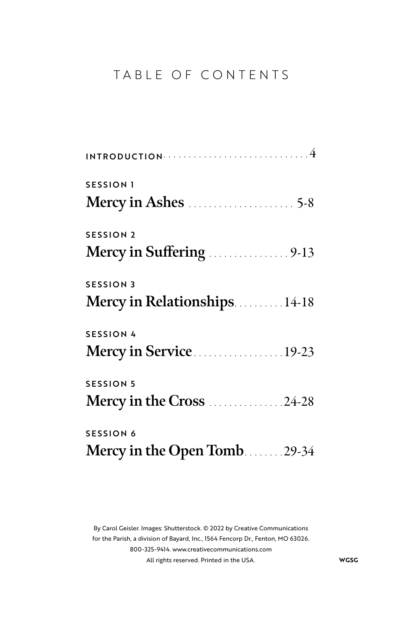## TABLE OF CONTENTS

| <b>SESSION 1</b>             |
|------------------------------|
|                              |
| <b>SESSION 2</b>             |
|                              |
| <b>SESSION 3</b>             |
| Mercy in Relationships 14-18 |
| <b>SESSION 4</b>             |
| Mercy in Service19-23        |
| <b>SESSION 5</b>             |
| Mercy in the Cross 24-28     |
| <b>SESSION 6</b>             |
| Mercy in the Open Tomb29-34  |

By Carol Geisler. Images: Shutterstock. © 2022 by Creative Communications for the Parish, a division of Bayard, Inc., 1564 Fencorp Dr., Fenton, MO 63026. 800-325-9414. www.creativecommunications.com All rights reserved. Printed in the USA. **WGSG**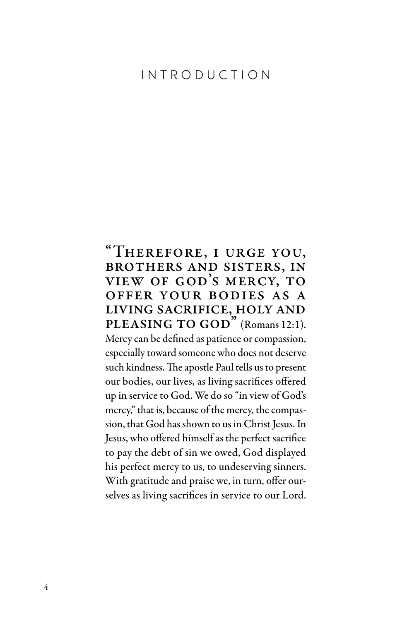### INTRODUCTION

### "Therefore, i urge you, brothers and sisters, in view of god's mercy, to offer your bodies as a living sacrifice, holy and PLEASING TO GOD" (Romans 12:1).

Mercy can be defined as patience or compassion, especially toward someone who does not deserve such kindness. The apostle Paul tells us to present our bodies, our lives, as living sacrifices offered up in service to God. We do so "in view of God's mercy," that is, because of the mercy, the compassion, that God has shown to us in Christ Jesus. In Jesus, who offered himself as the perfect sacrifice to pay the debt of sin we owed, God displayed his perfect mercy to us, to undeserving sinners. With gratitude and praise we, in turn, offer ourselves as living sacrifices in service to our Lord.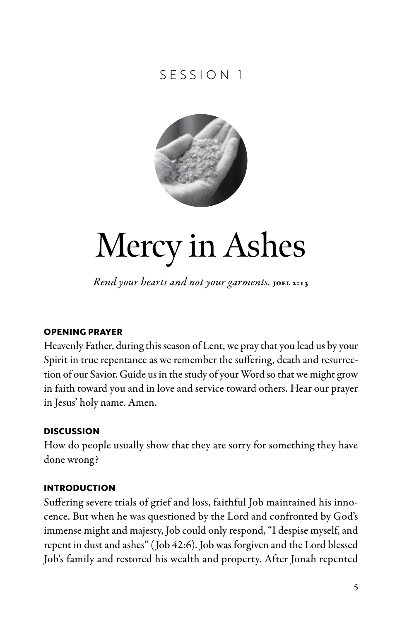# SESSION 1



# Mercy in Ashes

*Rend your hearts and not your garments.* JOEL 2:13

#### **OPENING PRAYER**

Heavenly Father, during this season of Lent, we pray that you lead us by your Spirit in true repentance as we remember the suffering, death and resurrection of our Savior. Guide us in the study of your Word so that we might grow in faith toward you and in love and service toward others. Hear our prayer in Jesus' holy name. Amen.

#### **DISCUSSION**

How do people usually show that they are sorry for something they have done wrong?

#### **INTRODUCTION**

Suffering severe trials of grief and loss, faithful Job maintained his innocence. But when he was questioned by the Lord and confronted by God's immense might and majesty, Job could only respond, "I despise myself, and repent in dust and ashes" ( Job 42:6). Job was forgiven and the Lord blessed Job's family and restored his wealth and property. After Jonah repented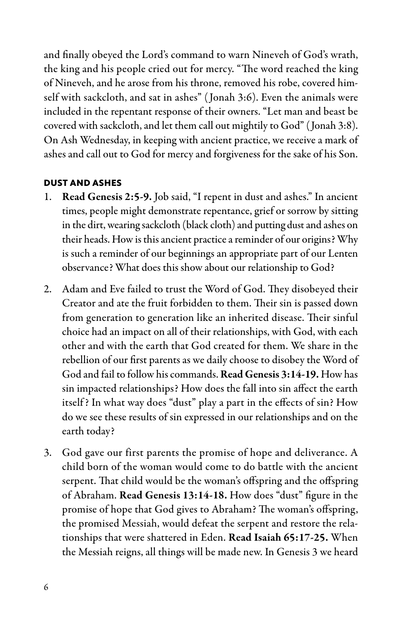and finally obeyed the Lord's command to warn Nineveh of God's wrath, the king and his people cried out for mercy. "The word reached the king of Nineveh, and he arose from his throne, removed his robe, covered himself with sackcloth, and sat in ashes" ( Jonah 3:6). Even the animals were included in the repentant response of their owners. "Let man and beast be covered with sackcloth, and let them call out mightily to God" ( Jonah 3:8). On Ash Wednesday, in keeping with ancient practice, we receive a mark of ashes and call out to God for mercy and forgiveness for the sake of his Son.

#### **DUST AND ASHES**

- 1. Read Genesis 2:5-9. Job said, "I repent in dust and ashes." In ancient times, people might demonstrate repentance, grief or sorrow by sitting in the dirt, wearing sackcloth (black cloth) and putting dust and ashes on their heads. How is this ancient practice a reminder of our origins? Why is such a reminder of our beginnings an appropriate part of our Lenten observance? What does this show about our relationship to God?
- 2. Adam and Eve failed to trust the Word of God. They disobeyed their Creator and ate the fruit forbidden to them. Their sin is passed down from generation to generation like an inherited disease. Their sinful choice had an impact on all of their relationships, with God, with each other and with the earth that God created for them. We share in the rebellion of our first parents as we daily choose to disobey the Word of God and fail to follow his commands. Read Genesis 3:14-19. How has sin impacted relationships? How does the fall into sin affect the earth itself ? In what way does "dust" play a part in the effects of sin? How do we see these results of sin expressed in our relationships and on the earth today?
- 3. God gave our first parents the promise of hope and deliverance. A child born of the woman would come to do battle with the ancient serpent. That child would be the woman's offspring and the offspring of Abraham. Read Genesis 13:14-18. How does "dust" figure in the promise of hope that God gives to Abraham? The woman's offspring, the promised Messiah, would defeat the serpent and restore the relationships that were shattered in Eden. Read Isaiah 65:17-25. When the Messiah reigns, all things will be made new. In Genesis 3 we heard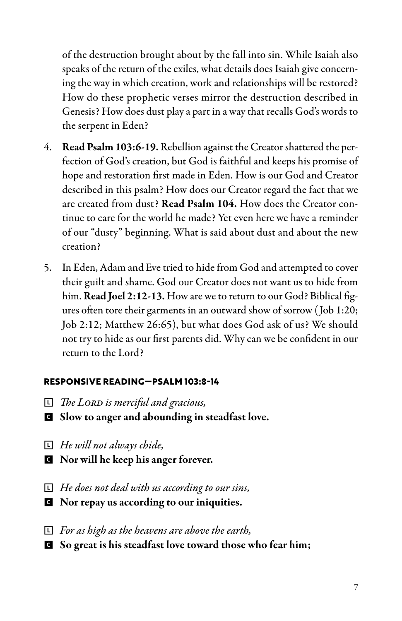of the destruction brought about by the fall into sin. While Isaiah also speaks of the return of the exiles, what details does Isaiah give concerning the way in which creation, work and relationships will be restored? How do these prophetic verses mirror the destruction described in Genesis? How does dust play a part in a way that recalls God's words to the serpent in Eden?

- 4. Read Psalm 103:6-19. Rebellion against the Creator shattered the perfection of God's creation, but God is faithful and keeps his promise of hope and restoration first made in Eden. How is our God and Creator described in this psalm? How does our Creator regard the fact that we are created from dust? Read Psalm 104. How does the Creator continue to care for the world he made? Yet even here we have a reminder of our "dusty" beginning. What is said about dust and about the new creation?
- 5. In Eden, Adam and Eve tried to hide from God and attempted to cover their guilt and shame. God our Creator does not want us to hide from him. Read Joel 2:12-13. How are we to return to our God? Biblical figures often tore their garments in an outward show of sorrow ( Job 1:20; Job 2:12; Matthew 26:65), but what does God ask of us? We should not try to hide as our first parents did. Why can we be confident in our return to the Lord?

#### **RESPONSIVE READING—PSALM 103:8-14**

- L *The Lord is merciful and gracious,*
- **G** Slow to anger and abounding in steadfast love.
- L *He will not always chide,*
- **G** Nor will he keep his anger forever.
- L *He does not deal with us according to our sins,*
- **G** Nor repay us according to our iniquities.
- L *For as high as the heavens are above the earth,*
- C So great is his steadfast love toward those who fear him;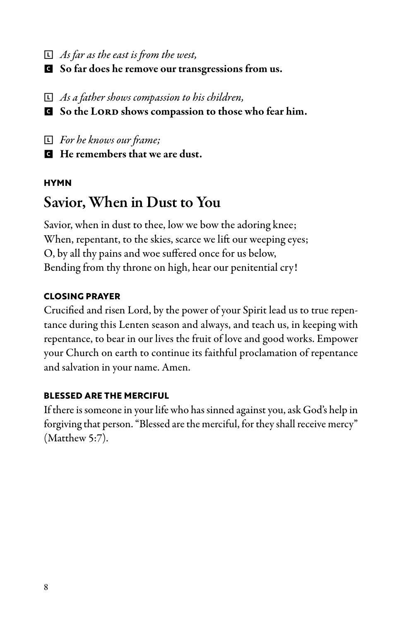- L *As far as the east is from the west,*
- G So far does he remove our transgressions from us.
- L *As a father shows compassion to his children,*
- G So the LORD shows compassion to those who fear him.
- L *For he knows our frame;*
- C He remembers that we are dust.

#### **HYMN**

# Savior, When in Dust to You

Savior, when in dust to thee, low we bow the adoring knee; When, repentant, to the skies, scarce we lift our weeping eyes; O, by all thy pains and woe suffered once for us below, Bending from thy throne on high, hear our penitential cry!

#### **CLOSING PRAYER**

Crucified and risen Lord, by the power of your Spirit lead us to true repentance during this Lenten season and always, and teach us, in keeping with repentance, to bear in our lives the fruit of love and good works. Empower your Church on earth to continue its faithful proclamation of repentance and salvation in your name. Amen.

#### **BLESSED ARE THE MERCIFUL**

If there is someone in your life who has sinned against you, ask God's help in forgiving that person. "Blessed are the merciful, for they shall receive mercy" (Matthew 5:7).